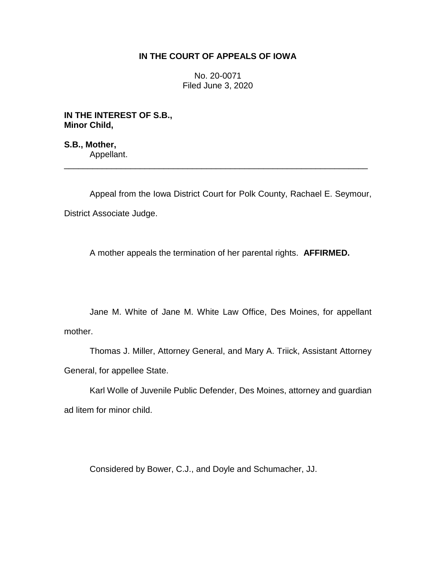## **IN THE COURT OF APPEALS OF IOWA**

No. 20-0071 Filed June 3, 2020

**IN THE INTEREST OF S.B., Minor Child,**

**S.B., Mother,** Appellant.

Appeal from the Iowa District Court for Polk County, Rachael E. Seymour, District Associate Judge.

\_\_\_\_\_\_\_\_\_\_\_\_\_\_\_\_\_\_\_\_\_\_\_\_\_\_\_\_\_\_\_\_\_\_\_\_\_\_\_\_\_\_\_\_\_\_\_\_\_\_\_\_\_\_\_\_\_\_\_\_\_\_\_\_

A mother appeals the termination of her parental rights. **AFFIRMED.**

Jane M. White of Jane M. White Law Office, Des Moines, for appellant mother.

Thomas J. Miller, Attorney General, and Mary A. Triick, Assistant Attorney General, for appellee State.

Karl Wolle of Juvenile Public Defender, Des Moines, attorney and guardian ad litem for minor child.

Considered by Bower, C.J., and Doyle and Schumacher, JJ.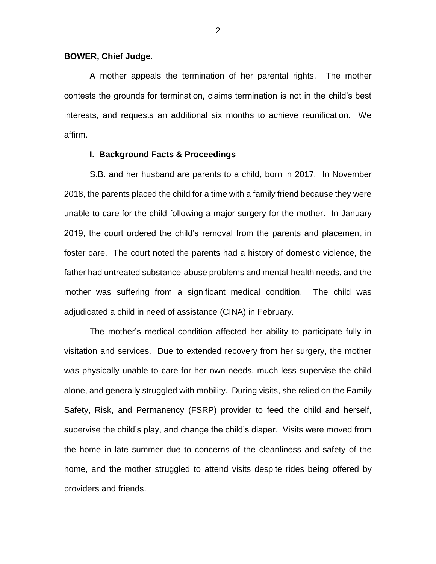### **BOWER, Chief Judge.**

A mother appeals the termination of her parental rights. The mother contests the grounds for termination, claims termination is not in the child's best interests, and requests an additional six months to achieve reunification. We affirm.

#### **I. Background Facts & Proceedings**

S.B. and her husband are parents to a child, born in 2017. In November 2018, the parents placed the child for a time with a family friend because they were unable to care for the child following a major surgery for the mother. In January 2019, the court ordered the child's removal from the parents and placement in foster care. The court noted the parents had a history of domestic violence, the father had untreated substance-abuse problems and mental-health needs, and the mother was suffering from a significant medical condition. The child was adjudicated a child in need of assistance (CINA) in February.

The mother's medical condition affected her ability to participate fully in visitation and services. Due to extended recovery from her surgery, the mother was physically unable to care for her own needs, much less supervise the child alone, and generally struggled with mobility. During visits, she relied on the Family Safety, Risk, and Permanency (FSRP) provider to feed the child and herself, supervise the child's play, and change the child's diaper. Visits were moved from the home in late summer due to concerns of the cleanliness and safety of the home, and the mother struggled to attend visits despite rides being offered by providers and friends.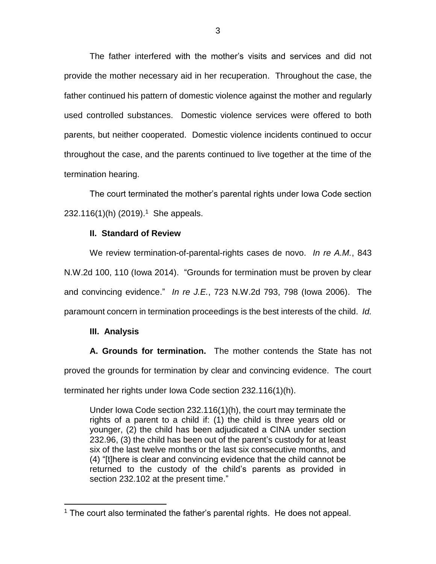The father interfered with the mother's visits and services and did not provide the mother necessary aid in her recuperation. Throughout the case, the father continued his pattern of domestic violence against the mother and regularly used controlled substances. Domestic violence services were offered to both parents, but neither cooperated. Domestic violence incidents continued to occur throughout the case, and the parents continued to live together at the time of the termination hearing.

The court terminated the mother's parental rights under Iowa Code section  $232.116(1)$ (h) (2019).<sup>1</sup> She appeals.

### **II. Standard of Review**

We review termination-of-parental-rights cases de novo. *In re A.M.*, 843 N.W.2d 100, 110 (Iowa 2014). "Grounds for termination must be proven by clear and convincing evidence." *In re J.E.*, 723 N.W.2d 793, 798 (Iowa 2006). The paramount concern in termination proceedings is the best interests of the child. *Id.*

# **III. Analysis**

**A. Grounds for termination.** The mother contends the State has not proved the grounds for termination by clear and convincing evidence. The court terminated her rights under Iowa Code section 232.116(1)(h).

Under Iowa Code section 232.116(1)(h), the court may terminate the rights of a parent to a child if: (1) the child is three years old or younger, (2) the child has been adjudicated a CINA under section 232.96, (3) the child has been out of the parent's custody for at least six of the last twelve months or the last six consecutive months, and (4) "[t]here is clear and convincing evidence that the child cannot be returned to the custody of the child's parents as provided in section 232.102 at the present time."

 $\overline{a}$ <sup>1</sup> The court also terminated the father's parental rights. He does not appeal.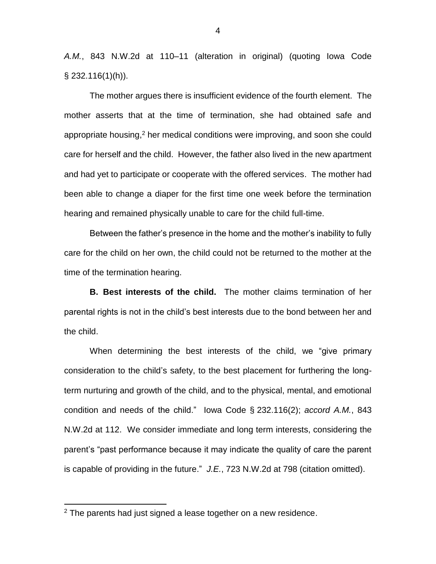*A.M.*, 843 N.W.2d at 110–11 (alteration in original) (quoting Iowa Code § 232.116(1)(h)).

The mother argues there is insufficient evidence of the fourth element. The mother asserts that at the time of termination, she had obtained safe and appropriate housing, <sup>2</sup> her medical conditions were improving, and soon she could care for herself and the child. However, the father also lived in the new apartment and had yet to participate or cooperate with the offered services. The mother had been able to change a diaper for the first time one week before the termination hearing and remained physically unable to care for the child full-time.

Between the father's presence in the home and the mother's inability to fully care for the child on her own, the child could not be returned to the mother at the time of the termination hearing.

**B. Best interests of the child.** The mother claims termination of her parental rights is not in the child's best interests due to the bond between her and the child.

When determining the best interests of the child, we "give primary consideration to the child's safety, to the best placement for furthering the longterm nurturing and growth of the child, and to the physical, mental, and emotional condition and needs of the child." Iowa Code § 232.116(2); *accord A.M.*, 843 N.W.2d at 112. We consider immediate and long term interests, considering the parent's "past performance because it may indicate the quality of care the parent is capable of providing in the future." *J.E.*, 723 N.W.2d at 798 (citation omitted).

 $\overline{a}$ 

<sup>2</sup> The parents had just signed a lease together on a new residence.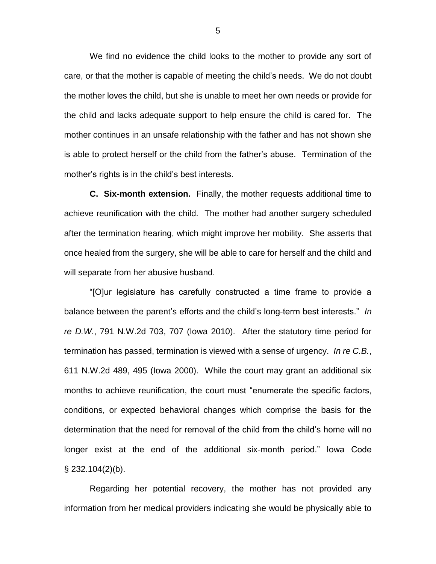We find no evidence the child looks to the mother to provide any sort of care, or that the mother is capable of meeting the child's needs. We do not doubt the mother loves the child, but she is unable to meet her own needs or provide for the child and lacks adequate support to help ensure the child is cared for. The mother continues in an unsafe relationship with the father and has not shown she is able to protect herself or the child from the father's abuse. Termination of the mother's rights is in the child's best interests.

**C. Six-month extension.** Finally, the mother requests additional time to achieve reunification with the child. The mother had another surgery scheduled after the termination hearing, which might improve her mobility. She asserts that once healed from the surgery, she will be able to care for herself and the child and will separate from her abusive husband.

"[O]ur legislature has carefully constructed a time frame to provide a balance between the parent's efforts and the child's long-term best interests." *In re D.W.*, 791 N.W.2d 703, 707 (Iowa 2010). After the statutory time period for termination has passed, termination is viewed with a sense of urgency. *In re C.B.*, 611 N.W.2d 489, 495 (Iowa 2000). While the court may grant an additional six months to achieve reunification, the court must "enumerate the specific factors, conditions, or expected behavioral changes which comprise the basis for the determination that the need for removal of the child from the child's home will no longer exist at the end of the additional six-month period." Iowa Code  $\S$  232.104(2)(b).

Regarding her potential recovery, the mother has not provided any information from her medical providers indicating she would be physically able to